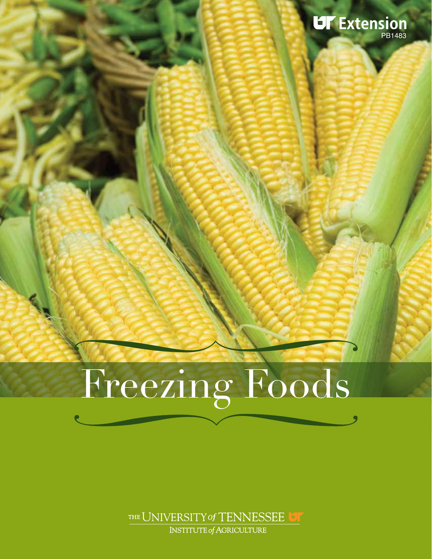

# Freezing Foods

THE UNIVERSITY of TENNESSEE UT INSTITUTE of AGRICULTURE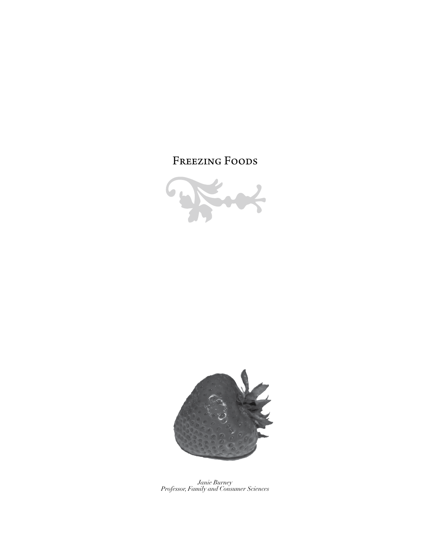# FREEZING FOODS



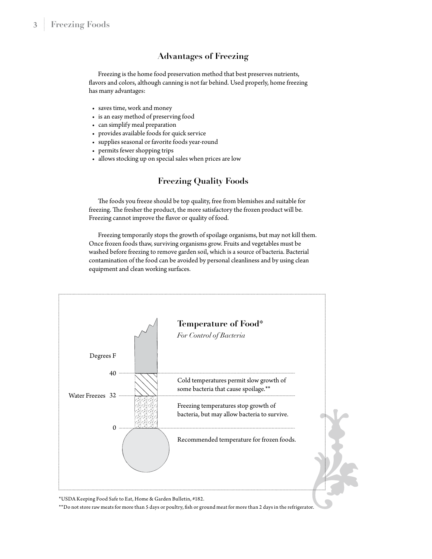#### **Advantages of Freezing**

Freezing is the home food preservation method that best preserves nutrients, flavors and colors, although canning is not far behind. Used properly, home freezing has many advantages:

- saves time, work and money
- is an easy method of preserving food
- can simplify meal preparation
- provides available foods for quick service
- supplies seasonal or favorite foods year-round
- permits fewer shopping trips
- allows stocking up on special sales when prices are low

#### **Freezing Quality Foods**

The foods you freeze should be top quality, free from blemishes and suitable for freezing. The fresher the product, the more satisfactory the frozen product will be. Freezing cannot improve the flavor or quality of food.

Freezing temporarily stops the growth of spoilage organisms, but may not kill them. Once frozen foods thaw, surviving organisms grow. Fruits and vegetables must be washed before freezing to remove garden soil, which is a source of bacteria. Bacterial contamination of the food can be avoided by personal cleanliness and by using clean equipment and clean working surfaces.



\*USDA Keeping Food Safe to Eat, Home & Garden Bulletin, #182.

\*\*Do not store raw meats for more than 5 days or poultry, fish or ground meat for more than 2 days in the refrigerator.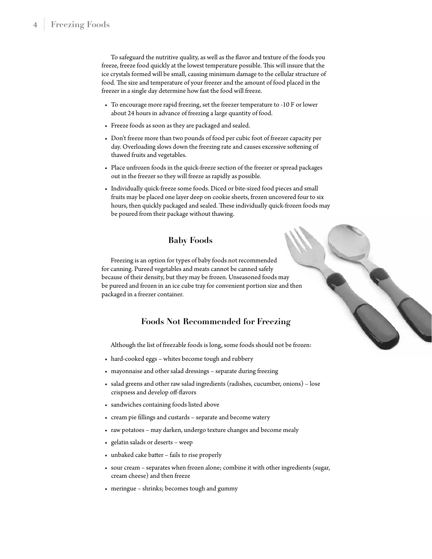To safeguard the nutritive quality, as well as the flavor and texture of the foods you freeze, freeze food quickly at the lowest temperature possible. This will insure that the ice crystals formed will be small, causing minimum damage to the cellular structure of food. The size and temperature of your freezer and the amount of food placed in the freezer in a single day determine how fast the food will freeze.

- To encourage more rapid freezing, set the freezer temperature to -10 F or lower about 24 hours in advance of freezing a large quantity of food.
- Freeze foods as soon as they are packaged and sealed.
- Don't freeze more than two pounds of food per cubic foot of freezer capacity per day. Overloading slows down the freezing rate and causes excessive softening of thawed fruits and vegetables.
- Place unfrozen foods in the quick-freeze section of the freezer or spread packages out in the freezer so they will freeze as rapidly as possible.
- Individually quick-freeze some foods. Diced or bite-sized food pieces and small fruits may be placed one layer deep on cookie sheets, frozen uncovered four to six hours, then quickly packaged and sealed. These individually quick-frozen foods may be poured from their package without thawing.

#### **Baby Foods**

Freezing is an option for types of baby foods not recommended for canning. Pureed vegetables and meats cannot be canned safely because of their density, but they may be frozen. Unseasoned foods may be pureed and frozen in an ice cube tray for convenient portion size and then packaged in a freezer container.

#### **Foods Not Recommended for Freezing**

Although the list of freezable foods is long, some foods should not be frozen:

- hard-cooked eggs whites become tough and rubbery
- mayonnaise and other salad dressings separate during freezing
- salad greens and other raw salad ingredients (radishes, cucumber, onions) lose crispness and develop off-flavors
- sandwiches containing foods listed above
- cream pie fillings and custards separate and become watery
- raw potatoes may darken, undergo texture changes and become mealy
- gelatin salads or deserts weep
- unbaked cake batter fails to rise properly
- sour cream separates when frozen alone; combine it with other ingredients (sugar, cream cheese) and then freeze
- meringue shrinks; becomes tough and gummy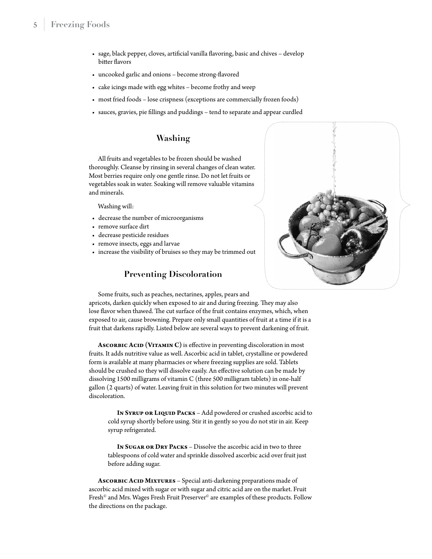- sage, black pepper, cloves, artificial vanilla flavoring, basic and chives develop bitter flavors
- uncooked garlic and onions become strong-flavored
- cake icings made with egg whites become frothy and weep
- most fried foods lose crispness (exceptions are commercially frozen foods)
- sauces, gravies, pie fillings and puddings tend to separate and appear curdled

#### **Washing**

All fruits and vegetables to be frozen should be washed thoroughly. Cleanse by rinsing in several changes of clean water. Most berries require only one gentle rinse. Do not let fruits or vegetables soak in water. Soaking will remove valuable vitamins and minerals.

Washing will:

- decrease the number of microorganisms
- remove surface dirt
- decrease pesticide residues
- remove insects, eggs and larvae
- increase the visibility of bruises so they may be trimmed out

#### **Preventing Discoloration**



Some fruits, such as peaches, nectarines, apples, pears and apricots, darken quickly when exposed to air and during freezing. They may also lose flavor when thawed. The cut surface of the fruit contains enzymes, which, when exposed to air, cause browning. Prepare only small quantities of fruit at a time if it is a

fruit that darkens rapidly. Listed below are several ways to prevent darkening of fruit.

ASCORBIC ACID (VITAMIN C) is effective in preventing discoloration in most fruits. It adds nutritive value as well. Ascorbic acid in tablet, crystalline or powdered form is available at many pharmacies or where freezing supplies are sold. Tablets should be crushed so they will dissolve easily. An effective solution can be made by dissolving 1500 milligrams of vitamin C (three 500 milligram tablets) in one-half gallon (2 quarts) of water. Leaving fruit in this solution for two minutes will prevent discoloration.

In SYRUP OR LIQUID PACKS - Add powdered or crushed ascorbic acid to cold syrup shortly before using. Stir it in gently so you do not stir in air. Keep syrup refrigerated.

**In Sugar or Dry Packs** – Dissolve the ascorbic acid in two to three tablespoons of cold water and sprinkle dissolved ascorbic acid over fruit just before adding sugar.

ASCORBIC ACID MIXTURES - Special anti-darkening preparations made of ascorbic acid mixed with sugar or with sugar and citric acid are on the market. Fruit Fresh $^\circ$  and Mrs. Wages Fresh Fruit Preserver $^\circ$  are examples of these products. Follow the directions on the package.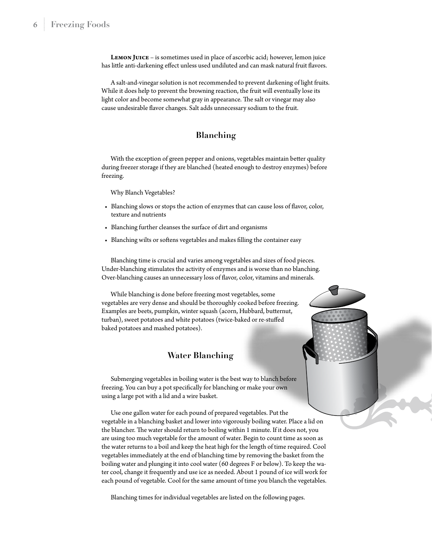**LEMON JUICE** – is sometimes used in place of ascorbic acid; however, lemon juice has little anti-darkening effect unless used undiluted and can mask natural fruit flavors.

A salt-and-vinegar solution is not recommended to prevent darkening of light fruits. While it does help to prevent the browning reaction, the fruit will eventually lose its light color and become somewhat gray in appearance. The salt or vinegar may also cause undesirable flavor changes. Salt adds unnecessary sodium to the fruit.

#### **Blanching**

With the exception of green pepper and onions, vegetables maintain better quality during freezer storage if they are blanched (heated enough to destroy enzymes) before freezing.

Why Blanch Vegetables?

- Blanching slows or stops the action of enzymes that can cause loss of flavor, color, texture and nutrients
- Blanching further cleanses the surface of dirt and organisms
- Blanching wilts or softens vegetables and makes filling the container easy

Blanching time is crucial and varies among vegetables and sizes of food pieces. Under-blanching stimulates the activity of enzymes and is worse than no blanching. Over-blanching causes an unnecessary loss of flavor, color, vitamins and minerals.

While blanching is done before freezing most vegetables, some vegetables are very dense and should be thoroughly cooked before freezing. Examples are beets, pumpkin, winter squash (acorn, Hubbard, butternut, turban), sweet potatoes and white potatoes (twice-baked or re-stuffed baked potatoes and mashed potatoes).

#### **Water Blanching**

Submerging vegetables in boiling water is the best way to blanch before freezing. You can buy a pot specifically for blanching or make your own using a large pot with a lid and a wire basket.

Use one gallon water for each pound of prepared vegetables. Put the vegetable in a blanching basket and lower into vigorously boiling water. Place a lid on the blancher. The water should return to boiling within 1 minute. If it does not, you are using too much vegetable for the amount of water. Begin to count time as soon as the water returns to a boil and keep the heat high for the length of time required. Cool vegetables immediately at the end of blanching time by removing the basket from the boiling water and plunging it into cool water (60 degrees F or below). To keep the water cool, change it frequently and use ice as needed. About 1 pound of ice will work for each pound of vegetable. Cool for the same amount of time you blanch the vegetables.

Blanching times for individual vegetables are listed on the following pages.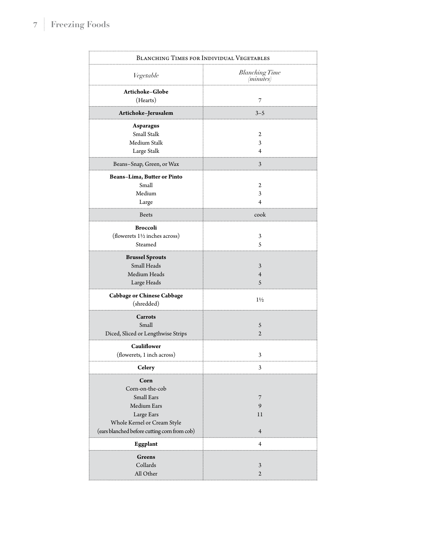| <b>BLANCHING TIMES FOR INDIVIDUAL VEGETABLES</b>                                                                                                  |                                             |  |  |  |
|---------------------------------------------------------------------------------------------------------------------------------------------------|---------------------------------------------|--|--|--|
| Vegetable                                                                                                                                         | <b>Blanching Time</b><br>( <i>minutes</i> ) |  |  |  |
| Artichoke–Globe<br>(Hearts)                                                                                                                       | 7                                           |  |  |  |
| Artichoke–Jerusalem                                                                                                                               | $3 - 5$                                     |  |  |  |
| Asparagus<br>Small Stalk<br>Medium Stalk<br>Large Stalk                                                                                           | 2<br>3<br>4                                 |  |  |  |
| Beans-Snap, Green, or Wax                                                                                                                         | 3                                           |  |  |  |
| Beans-Lima, Butter or Pinto<br>Small<br>Medium<br>Large                                                                                           | 2<br>3<br>4                                 |  |  |  |
| Beets                                                                                                                                             | cook                                        |  |  |  |
| <b>Broccoli</b><br>(flowerets 11/2 inches across)<br>Steamed                                                                                      | 3<br>5                                      |  |  |  |
| <b>Brussel Sprouts</b><br>Small Heads<br>Medium Heads<br>Large Heads                                                                              | 3<br>$\overline{4}$<br>5                    |  |  |  |
| Cabbage or Chinese Cabbage<br>(shredded)                                                                                                          | $1\frac{1}{2}$                              |  |  |  |
| Carrots<br>Small<br>Diced, Sliced or Lengthwise Strips                                                                                            | 5<br>2                                      |  |  |  |
| Cauliflower<br>(flowerets, 1 inch across)                                                                                                         | 3                                           |  |  |  |
| Celery                                                                                                                                            | Ś                                           |  |  |  |
| Corn<br>Corn-on-the-cob<br>Small Ears<br>Medium Ears<br>Large Ears<br>Whole Kernel or Cream Style<br>(ears blanched before cutting corn from cob) | 7<br>9<br>11<br>$\overline{4}$              |  |  |  |
| Eggplant                                                                                                                                          | $\overline{4}$                              |  |  |  |
| Greens<br>Collards<br>All Other                                                                                                                   | 3<br>$\overline{2}$                         |  |  |  |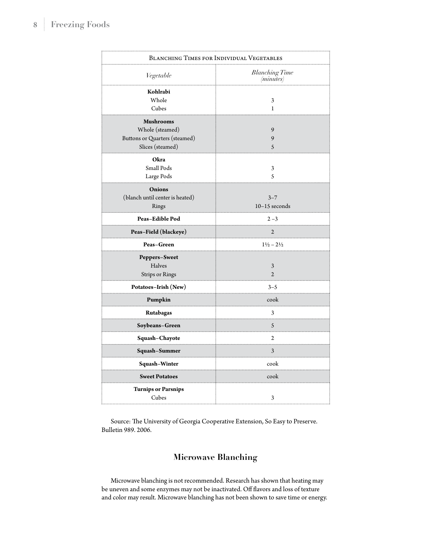| <b>BLANCHING TIMES FOR INDIVIDUAL VEGETABLES</b> |                                             |  |  |
|--------------------------------------------------|---------------------------------------------|--|--|
| Vegetable                                        | <b>Blanching Time</b><br>( <i>minutes</i> ) |  |  |
| Kohlrabi                                         |                                             |  |  |
| Whole                                            | 3                                           |  |  |
| Cubes                                            | 1                                           |  |  |
| Mushrooms                                        |                                             |  |  |
| Whole (steamed)                                  | 9                                           |  |  |
| Buttons or Quarters (steamed)                    | 9                                           |  |  |
| Slices (steamed)                                 | 5                                           |  |  |
| Okra                                             |                                             |  |  |
| Small Pods                                       | 3                                           |  |  |
| Large Pods                                       | 5                                           |  |  |
| Onions                                           |                                             |  |  |
| (blanch until center is heated)                  | $3 - 7$                                     |  |  |
| Rings                                            | $10-15$ seconds                             |  |  |
| <b>Peas–Edible Pod</b>                           | $2 - 3$                                     |  |  |
| Peas-Field (blackeye)                            | $\overline{c}$<br>.                         |  |  |
| Peas–Green                                       | $1\frac{1}{2} - 2\frac{1}{2}$               |  |  |
| Peppers-Sweet                                    |                                             |  |  |
| Halves                                           | 3                                           |  |  |
| Strips or Rings                                  | $\mathfrak{D}$                              |  |  |
| Potatoes–Irish (New)                             | $3 - 5$                                     |  |  |
| Pumpkin                                          | cook                                        |  |  |
| Rutabagas                                        | 3                                           |  |  |
| Soybeans–Green                                   | 5                                           |  |  |
| Squash-Chayote                                   | 2                                           |  |  |
| Squash–Summer                                    | 3<br>$\cdots$                               |  |  |
| Squash–Winter                                    | cook                                        |  |  |
| <b>Sweet Potatoes</b>                            | cook                                        |  |  |
| <b>Turnips or Parsnips</b><br>Cubes              | 3                                           |  |  |

Source: The University of Georgia Cooperative Extension, So Easy to Preserve. Bulletin 989. 2006.

# **Microwave Blanching**

Microwave blanching is not recommended. Research has shown that heating may be uneven and some enzymes may not be inactivated. Off flavors and loss of texture and color may result. Microwave blanching has not been shown to save time or energy.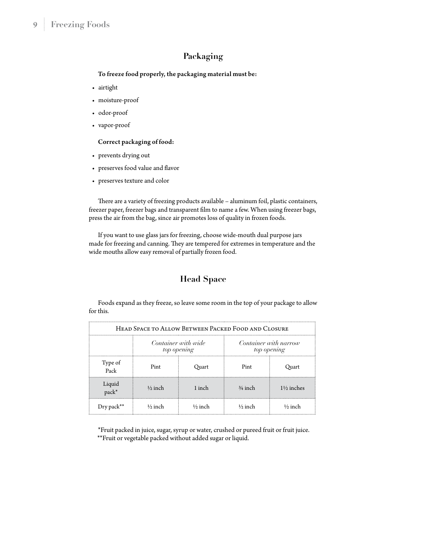### **Packaging**

To freeze food properly, the packaging material must be:

- airtight
- moisture-proof
- odor-proof
- vapor-proof

#### Correct packaging of food:

- prevents drying out
- preserves food value and flavor
- preserves texture and color

There are a variety of freezing products available – aluminum foil, plastic containers, freezer paper, freezer bags and transparent film to name a few. When using freezer bags, press the air from the bag, since air promotes loss of quality in frozen foods.

If you want to use glass jars for freezing, choose wide-mouth dual purpose jars made for freezing and canning. They are tempered for extremes in temperature and the wide mouths allow easy removal of partially frozen food.

# **Head Space**

Foods expand as they freeze, so leave some room in the top of your package to allow for this.

| HEAD SPACE TO ALLOW BETWEEN PACKED FOOD AND CLOSURE |                                    |                    |                                      |                       |  |  |
|-----------------------------------------------------|------------------------------------|--------------------|--------------------------------------|-----------------------|--|--|
|                                                     | Container with wide<br>top opening |                    | Container with narrow<br>top opening |                       |  |  |
| Type of<br>Pack                                     | Pint                               | Ouart              | Pint                                 | Quart                 |  |  |
| Liquid<br>pack*                                     | $\frac{1}{2}$ inch                 | 1 inch             | $3/4$ inch                           | $1\frac{1}{2}$ inches |  |  |
| $_{\rm Dry\,pack^{**}}$                             | $\frac{1}{2}$ inch                 | $\frac{1}{2}$ inch | $\frac{1}{2}$ inch                   | $\frac{1}{2}$ inch    |  |  |

\*Fruit packed in juice, sugar, syrup or water, crushed or pureed fruit or fruit juice. \*\*Fruit or vegetable packed without added sugar or liquid.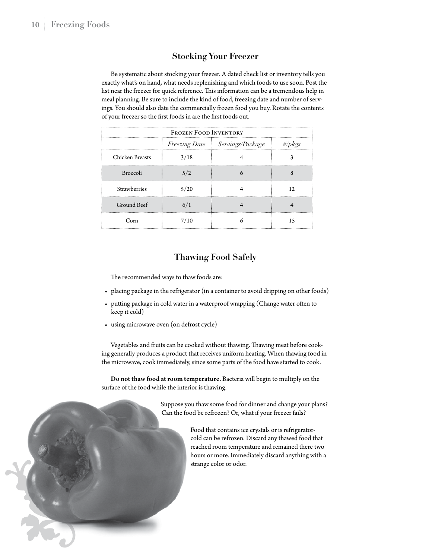#### **Stocking Your Freezer**

Be systematic about stocking your freezer. A dated check list or inventory tells you exactly what's on hand, what needs replenishing and which foods to use soon. Post the list near the freezer for quick reference. This information can be a tremendous help in meal planning. Be sure to include the kind of food, freezing date and number of servings. You should also date the commercially frozen food you buy. Rotate the contents of your freezer so the first foods in are the first foods out.

| <b>FROZEN FOOD INVENTORY</b> |      |                                |           |  |  |  |
|------------------------------|------|--------------------------------|-----------|--|--|--|
|                              |      | Freezing Date Servings/Package | #/ $pkgs$ |  |  |  |
| Chicken Breasts              | 3/18 |                                |           |  |  |  |
| <b>Broccoli</b>              | 5/2  |                                |           |  |  |  |
| <b>Strawberries</b>          | 5/20 |                                | 12.       |  |  |  |
| Ground Beef                  | 6/1  |                                |           |  |  |  |
| Corn                         | 7/10 |                                | 15        |  |  |  |

#### **Thawing Food Safely**

The recommended ways to thaw foods are:

- placing package in the refrigerator (in a container to avoid dripping on other foods)
- putting package in cold water in a waterproof wrapping (Change water often to keep it cold)
- using microwave oven (on defrost cycle)

Vegetables and fruits can be cooked without thawing. Thawing meat before cooking generally produces a product that receives uniform heating. When thawing food in the microwave, cook immediately, since some parts of the food have started to cook.

Do not thaw food at room temperature. Bacteria will begin to multiply on the surface of the food while the interior is thawing.

> Suppose you thaw some food for dinner and change your plans? Can the food be refrozen? Or, what if your freezer fails?

> > Food that contains ice crystals or is refrigeratorcold can be refrozen. Discard any thawed food that reached room temperature and remained there two hours or more. Immediately discard anything with a strange color or odor.

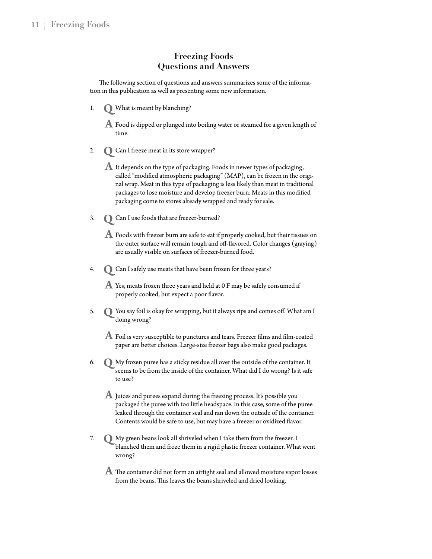#### **Freezing Foods Questions and Answers**

The following section of questions and answers summarizes some of the information in this publication as well as presenting some new information.

1. What is meant by blanching? **Q**

 $\bf{A}$  Food is dipped or plunged into boiling water or steamed for a given length of time.

2. Can I freeze meat in its store wrapper? **Q**

 $\blacktriangle$  It depends on the type of packaging. Foods in newer types of packaging, called "modified atmospheric packaging" (MAP), can be frozen in the original wrap. Meat in this type of packaging is less likely than meat in traditional packages to lose moisture and develop freezer burn. Meats in this modified packaging come to stores already wrapped and ready for sale.

3. Can I use foods that are freezer-burned? **Q**

 Foods with freezer burn are safe to eat if properly cooked, but their tissues on **A** the outer surface will remain tough and off-flavored. Color changes (graying) are usually visible on surfaces of freezer-burned food.

4. Can I safely use meats that have been frozen for three years? **Q**

 $\mathbf A$  Yes, meats frozen three years and held at 0 F may be safely consumed if properly cooked, but expect a poor flavor.

- 5. You say foil is okay for wrapping, but it always rips and comes off. What am I doing wrong?
- $\blacktriangle$  Foil is very susceptible to punctures and tears. Freezer films and film-coated paper are better choices. Large-size freezer bags also make good packages.
- 6. My frozen puree has a sticky residue all over the outside of the container. It **Q** seems to be from the inside of the container. What did I do wrong? Is it safe to use?
- $\blacktriangle$  Juices and purees expand during the freezing process. It's possible you packaged the puree with too little headspace. In this case, some of the puree leaked through the container seal and ran down the outside of the container. Contents would be safe to use, but may have a freezer or oxidized flavor.
- 7. My green beans look all shriveled when I take them from the freezer. I **Q** blanched them and froze them in a rigid plastic freezer container. What went wrong?
- $\boldsymbol{A}$  The container did not form an airtight seal and allowed moisture vapor losses from the beans. This leaves the beans shriveled and dried looking.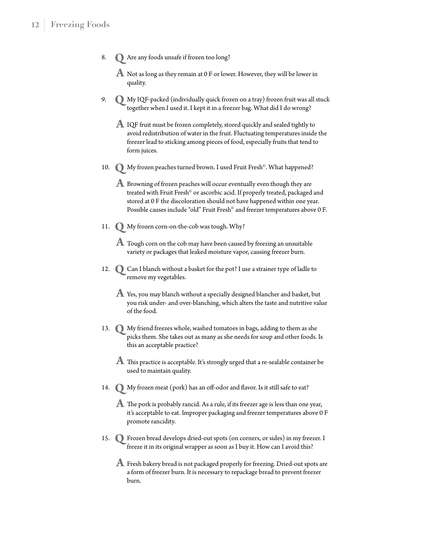- 8. Are any foods unsafe if frozen too long? **Q**
- $\mathbf A$  Not as long as they remain at 0 F or lower. However, they will be lower in quality.
- 9. My IQF-packed (individually quick frozen on a tray) frozen fruit was all stuck **Q** together when I used it. I kept it in a freezer bag. What did I do wrong?
- $\bf{A}$  IQF fruit must be frozen completely, stored quickly and sealed tightly to avoid redistribution of water in the fruit. Fluctuating temperatures inside the freezer lead to sticking among pieces of food, especially fruits that tend to form juices.
- 10. My frozen peaches turned brown. I used Fruit Fresh© . What happened? **Q**
- ${\bf A}$  Browning of frozen peaches will occur eventually even though they are treated with Fruit Fresh<sup>®</sup> or ascorbic acid. If properly treated, packaged and stored at 0 F the discoloration should not have happened within one year. Possible causes include "old" Fruit Fresh® and freezer temperatures above 0 F.
- 11. My frozen corn-on-the-cob was tough. Why? **Q**
- $\bf{A}$  Tough corn on the cob may have been caused by freezing an unsuitable variety or packages that leaked moisture vapor, causing freezer burn.
- 12.  $\bigcirc$  Can I blanch without a basket for the pot? I use a strainer type of ladle to remove my vegetables.
- $\boldsymbol{A}$  Yes, you may blanch without a specially designed blancher and basket, but you risk under- and over-blanching, which alters the taste and nutritive value of the food.
- 13. My friend freezes whole, washed tomatoes in bags, adding to them as she **Q** picks them. She takes out as many as she needs for soup and other foods. Is this an acceptable practice?
- $\bf{A}$  This practice is acceptable. It's strongly urged that a re-sealable container be used to maintain quality.
- 14. My frozen meat (pork) has an off-odor and flavor. Is it still safe to eat? **Q**
- $\bf{A}$  The pork is probably rancid. As a rule, if its freezer age is less than one year, it's acceptable to eat. Improper packaging and freezer temperatures above 0 F promote rancidity.
- 15. Frozen bread develops dried-out spots (on corners, or sides) in my freezer. I **Q** freeze it in its original wrapper as soon as I buy it. How can I avoid this?
- $\boldsymbol{A}$  Fresh bakery bread is not packaged properly for freezing. Dried-out spots are a form of freezer burn. It is necessary to repackage bread to prevent freezer burn.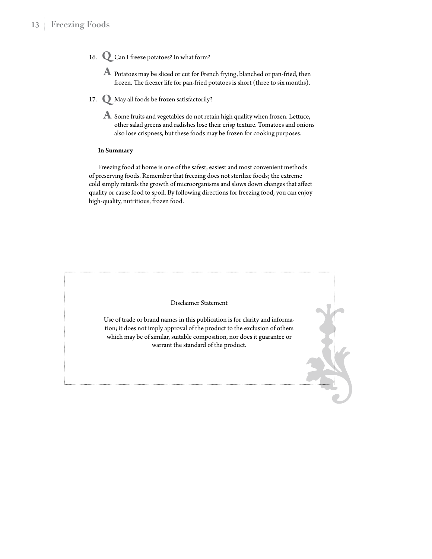- 16. Can I freeze potatoes? In what form? **Q**
- $\bf{A}$  Potatoes may be sliced or cut for French frying, blanched or pan-fried, then frozen. The freezer life for pan-fried potatoes is short (three to six months).
- 17. May all foods be frozen satisfactorily? **Q**
- $\boldsymbol{A}$  Some fruits and vegetables do not retain high quality when frozen. Lettuce, other salad greens and radishes lose their crisp texture. Tomatoes and onions also lose crispness, but these foods may be frozen for cooking purposes.

#### **In Summary**

Freezing food at home is one of the safest, easiest and most convenient methods of preserving foods. Remember that freezing does not sterilize foods; the extreme cold simply retards the growth of microorganisms and slows down changes that affect quality or cause food to spoil. By following directions for freezing food, you can enjoy high-quality, nutritious, frozen food.